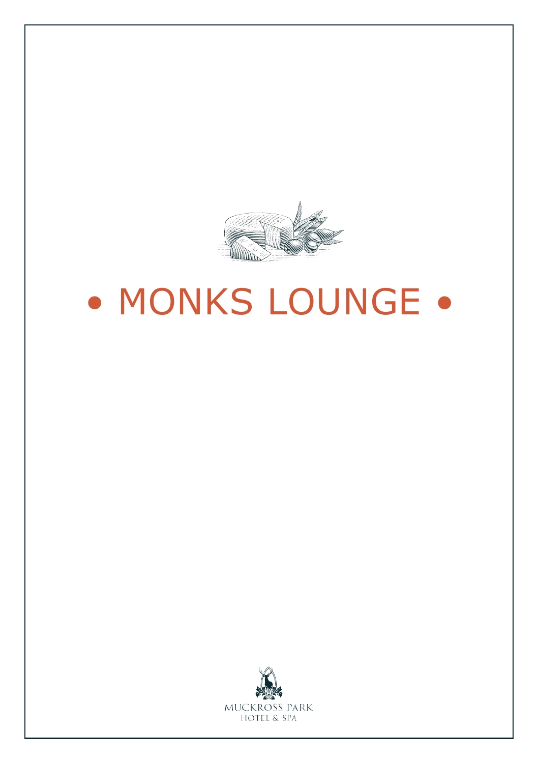

# • MONKS LOUNGE •

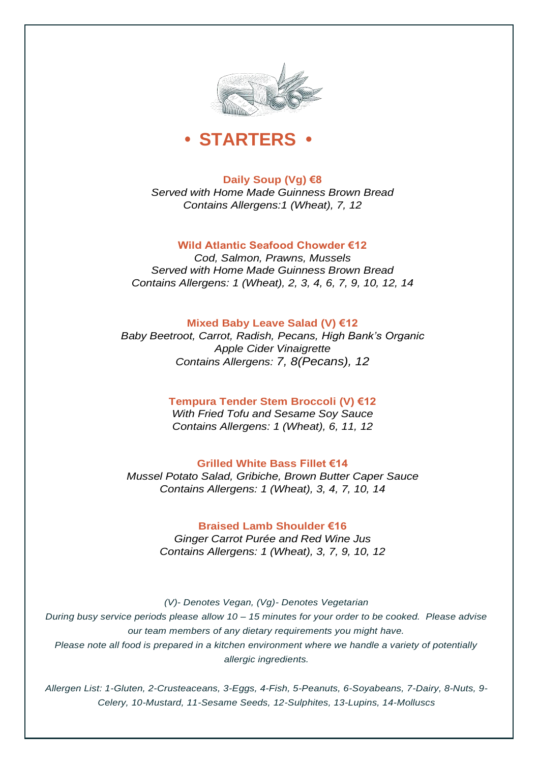



**Daily Soup (Vg) €8** *Served with Home Made Guinness Brown Bread Contains Allergens:1 (Wheat), 7, 12*

## **Wild Atlantic Seafood Chowder €12**

*Cod, Salmon, Prawns, Mussels Served with Home Made Guinness Brown Bread Contains Allergens: 1 (Wheat), 2, 3, 4, 6, 7, 9, 10, 12, 14*

## **Mixed Baby Leave Salad (V) €12**

*Baby Beetroot, Carrot, Radish, Pecans, High Bank's Organic Apple Cider Vinaigrette Contains Allergens: 7, 8(Pecans), 12*

## **Tempura Tender Stem Broccoli (V) €12**

*With Fried Tofu and Sesame Soy Sauce Contains Allergens: 1 (Wheat), 6, 11, 12*

#### **Grilled White Bass Fillet €14**

*Mussel Potato Salad, Gribiche, Brown Butter Caper Sauce Contains Allergens: 1 (Wheat), 3, 4, 7, 10, 14*

## **Braised Lamb Shoulder €16**

*Ginger Carrot Purée and Red Wine Jus Contains Allergens: 1 (Wheat), 3, 7, 9, 10, 12*

*(V)- Denotes Vegan, (Vg)- Denotes Vegetarian During busy service periods please allow 10 – 15 minutes for your order to be cooked. Please advise our team members of any dietary requirements you might have.*

*Please note all food is prepared in a kitchen environment where we handle a variety of potentially allergic ingredients.*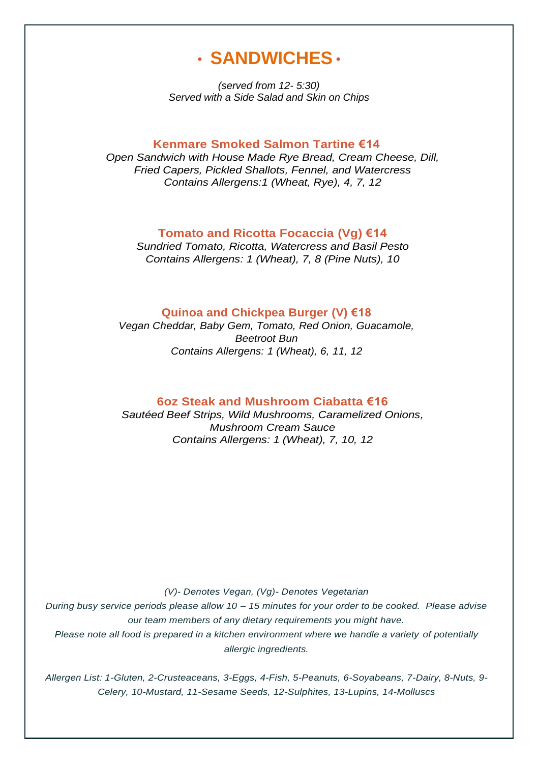# • **SANDWICHES** •

*(served from 12- 5:30) Served with a Side Salad and Skin on Chips*

#### **Kenmare Smoked Salmon Tartine €14**

*Open Sandwich with House Made Rye Bread, Cream Cheese, Dill, Fried Capers, Pickled Shallots, Fennel, and Watercress Contains Allergens:1 (Wheat, Rye), 4, 7, 12*

#### **Tomato and Ricotta Focaccia (Vg) €14**

*Sundried Tomato, Ricotta, Watercress and Basil Pesto Contains Allergens: 1 (Wheat), 7, 8 (Pine Nuts), 10*

## **Quinoa and Chickpea Burger (V) €18**

*Vegan Cheddar, Baby Gem, Tomato, Red Onion, Guacamole, Beetroot Bun Contains Allergens: 1 (Wheat), 6, 11, 12*

#### **6oz Steak and Mushroom Ciabatta €16**

*Sautéed Beef Strips, Wild Mushrooms, Caramelized Onions, Mushroom Cream Sauce Contains Allergens: 1 (Wheat), 7, 10, 12*

*(V)- Denotes Vegan, (Vg)- Denotes Vegetarian*

*During busy service periods please allow 10 – 15 minutes for your order to be cooked. Please advise our team members of any dietary requirements you might have. Please note all food is prepared in a kitchen environment where we handle a variety of potentially allergic ingredients.*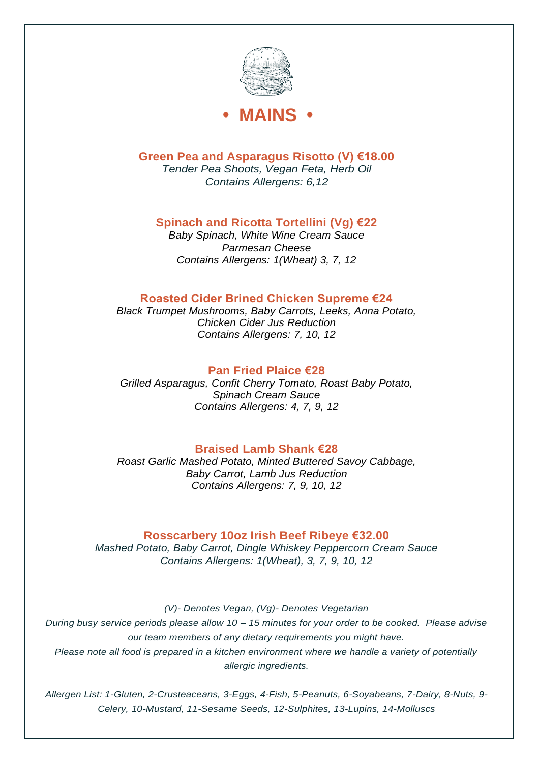



**Green Pea and Asparagus Risotto (V) €18.00**

*Tender Pea Shoots, Vegan Feta, Herb Oil Contains Allergens: 6,12*

# **Spinach and Ricotta Tortellini (Vg) €22**

*Baby Spinach, White Wine Cream Sauce Parmesan Cheese Contains Allergens: 1(Wheat) 3, 7, 12*

# **Roasted Cider Brined Chicken Supreme €24**

*Black Trumpet Mushrooms, Baby Carrots, Leeks, Anna Potato, Chicken Cider Jus Reduction Contains Allergens: 7, 10, 12*

# **Pan Fried Plaice €28**

*Grilled Asparagus, Confit Cherry Tomato, Roast Baby Potato, Spinach Cream Sauce Contains Allergens: 4, 7, 9, 12*

# **Braised Lamb Shank €28**

*Roast Garlic Mashed Potato, Minted Buttered Savoy Cabbage, Baby Carrot, Lamb Jus Reduction Contains Allergens: 7, 9, 10, 12*

# **Rosscarbery 10oz Irish Beef Ribeye €32.00**

*Mashed Potato, Baby Carrot, Dingle Whiskey Peppercorn Cream Sauce Contains Allergens: 1(Wheat), 3, 7, 9, 10, 12*

*(V)- Denotes Vegan, (Vg)- Denotes Vegetarian*

*During busy service periods please allow 10 – 15 minutes for your order to be cooked. Please advise our team members of any dietary requirements you might have.*

*Please note all food is prepared in a kitchen environment where we handle a variety of potentially allergic ingredients.*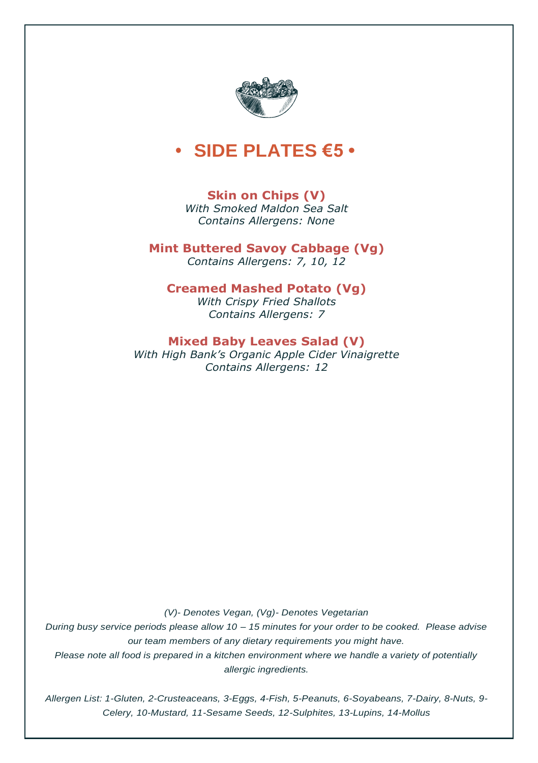

# **• SIDE PLATES €5 •**

# **Skin on Chips (V)**

*With Smoked Maldon Sea Salt Contains Allergens: None*

**Mint Buttered Savoy Cabbage (Vg)** *Contains Allergens: 7, 10, 12*

## **Creamed Mashed Potato (Vg)**

*With Crispy Fried Shallots Contains Allergens: 7*

## **Mixed Baby Leaves Salad (V)**

*With High Bank's Organic Apple Cider Vinaigrette Contains Allergens: 12*

*(V)- Denotes Vegan, (Vg)- Denotes Vegetarian*

*During busy service periods please allow 10 – 15 minutes for your order to be cooked. Please advise our team members of any dietary requirements you might have.*

*Please note all food is prepared in a kitchen environment where we handle a variety of potentially allergic ingredients.*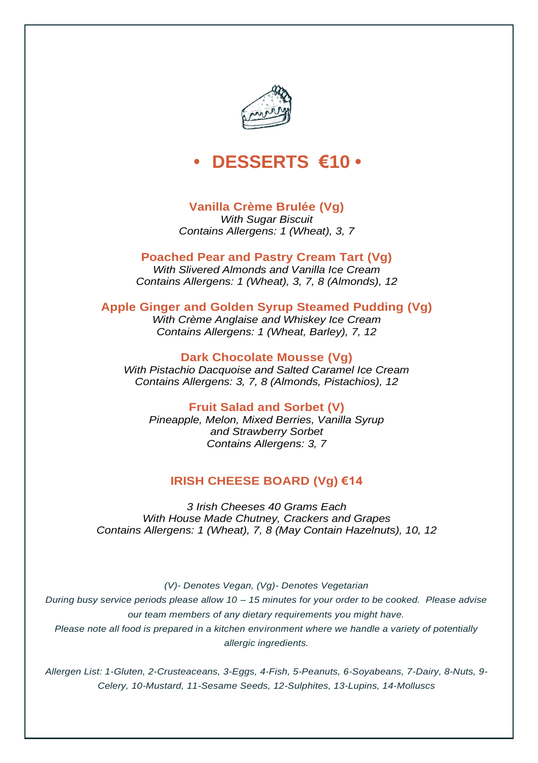

# **• DESSERTS €10 •**

# **Vanilla Crème Brulée (Vg)**

*With Sugar Biscuit Contains Allergens: 1 (Wheat), 3, 7*

# **Poached Pear and Pastry Cream Tart (Vg)**

*With Slivered Almonds and Vanilla Ice Cream Contains Allergens: 1 (Wheat), 3, 7, 8 (Almonds), 12*

## **Apple Ginger and Golden Syrup Steamed Pudding (Vg)**

*With Crème Anglaise and Whiskey Ice Cream Contains Allergens: 1 (Wheat, Barley), 7, 12*

**Dark Chocolate Mousse (Vg)** *With Pistachio Dacquoise and Salted Caramel Ice Cream Contains Allergens: 3, 7, 8 (Almonds, Pistachios), 12*

**Fruit Salad and Sorbet (V)** *Pineapple, Melon, Mixed Berries, Vanilla Syrup and Strawberry Sorbet Contains Allergens: 3, 7*

# **IRISH CHEESE BOARD (Vg) €14**

*3 Irish Cheeses 40 Grams Each With House Made Chutney, Crackers and Grapes Contains Allergens: 1 (Wheat), 7, 8 (May Contain Hazelnuts), 10, 12*

*(V)- Denotes Vegan, (Vg)- Denotes Vegetarian*

*During busy service periods please allow 10 – 15 minutes for your order to be cooked. Please advise our team members of any dietary requirements you might have. Please note all food is prepared in a kitchen environment where we handle a variety of potentially allergic ingredients.*